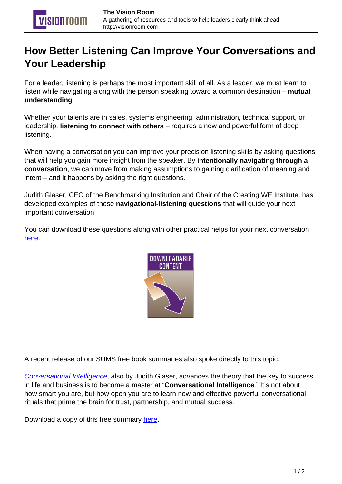## **How Better Listening Can Improve Your Conversations and Your Leadership**

For a leader, listening is perhaps the most important skill of all. As a leader, we must learn to listen while navigating along with the person speaking toward a common destination – **mutual understanding**.

Whether your talents are in sales, systems engineering, administration, technical support, or leadership, **listening to connect with others** – requires a new and powerful form of deep listening.

When having a conversation you can improve your precision listening skills by asking questions that will help you gain more insight from the speaker. By **intentionally navigating through a conversation**, we can move from making assumptions to gaining clarification of meaning and intent – and it happens by asking the right questions.

Judith Glaser, CEO of the Benchmarking Institution and Chair of the Creating WE Institute, has developed examples of these **navigational-listening questions** that will guide your next important conversation.

You can download these questions along with other practical helps for your next conversation [here.](http://auxa.no/1iTvpNq)



A recent release of our SUMS free book summaries also spoke directly to this topic.

[Conversational Intelligence](http://amzn.to/17YuCE9), also by Judith Glaser, advances the theory that the key to success in life and business is to become a master at "**Conversational Intelligence**." It's not about how smart you are, but how open you are to learn new and effective powerful conversational rituals that prime the brain for trust, partnership, and mutual success.

Download a copy of this free summary [here.](http://bit.ly/1xkxdYa)